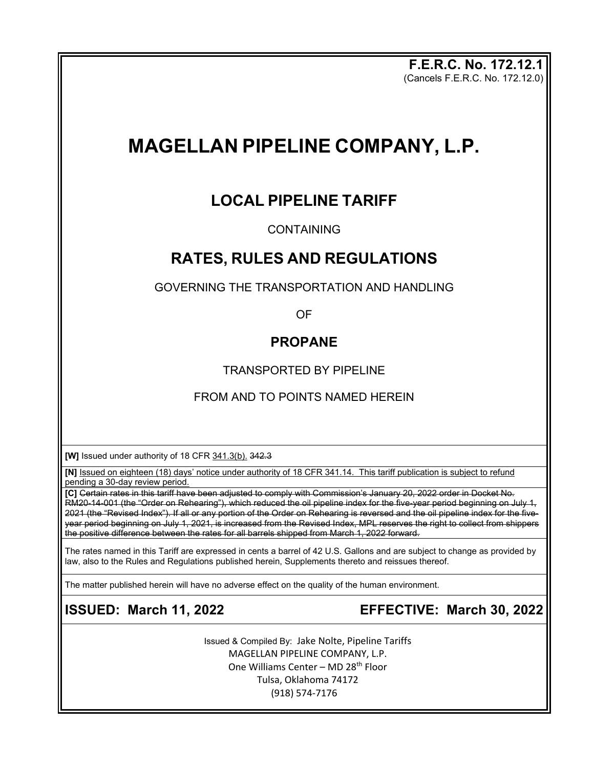**F.E.R.C. No. 172.12.1** (Cancels F.E.R.C. No. 172.12.0)

# **MAGELLAN PIPELINE COMPANY, L.P.**

# **LOCAL PIPELINE TARIFF**

### **CONTAINING**

# **RATES, RULES AND REGULATIONS**

GOVERNING THE TRANSPORTATION AND HANDLING

OF

## **PROPANE**

TRANSPORTED BY PIPELINE

### FROM AND TO POINTS NAMED HEREIN

**[W]** Issued under authority of 18 CFR 341.3(b). 342.3

**[N]** Issued on eighteen (18) days' notice under authority of 18 CFR 341.14. This tariff publication is subject to refund pending a 30-day review period.

**[C]** Certain rates in this tariff have been adjusted to comply with Commission's January 20, 2022 order in Docket No. RM20-14-001 (the "Order on Rehearing"), which reduced the oil pipeline index for the five-year period beginning on July 1, 2021 (the "Revised Index"). If all or any portion of the Order on Rehearing is reversed and the oil pipeline index for the fiveyear period beginning on July 1, 2021, is increased from the Revised Index, MPL reserves the right to collect from shippers the positive difference between the rates for all barrels shipped from March 1, 2022 forward.

The rates named in this Tariff are expressed in cents a barrel of 42 U.S. Gallons and are subject to change as provided by law, also to the Rules and Regulations published herein, Supplements thereto and reissues thereof.

The matter published herein will have no adverse effect on the quality of the human environment.

**ISSUED: March 11, 2022 EFFECTIVE: March 30, 2022**

Issued & Compiled By: Jake Nolte, Pipeline Tariffs MAGELLAN PIPELINE COMPANY, L.P. One Williams Center - MD 28<sup>th</sup> Floor Tulsa, Oklahoma 74172 (918) 574-7176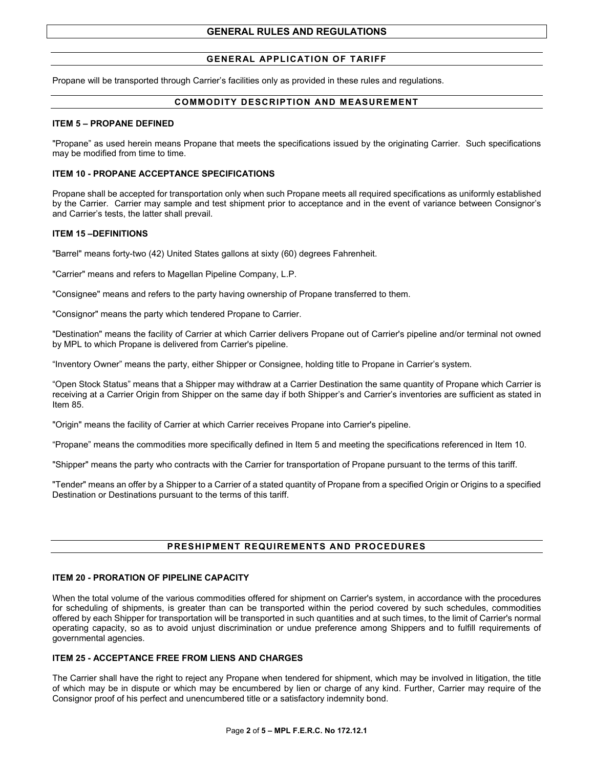### **GENERAL APPLICATION OF TARIFF**

Propane will be transported through Carrier's facilities only as provided in these rules and regulations.

#### **COMMODITY DESCRIPTION AND MEASUREMENT**

#### **ITEM 5 – PROPANE DEFINED**

"Propane" as used herein means Propane that meets the specifications issued by the originating Carrier. Such specifications may be modified from time to time.

#### **ITEM 10 - PROPANE ACCEPTANCE SPECIFICATIONS**

Propane shall be accepted for transportation only when such Propane meets all required specifications as uniformly established by the Carrier. Carrier may sample and test shipment prior to acceptance and in the event of variance between Consignor's and Carrier's tests, the latter shall prevail.

#### **ITEM 15 –DEFINITIONS**

"Barrel" means forty-two (42) United States gallons at sixty (60) degrees Fahrenheit.

"Carrier" means and refers to Magellan Pipeline Company, L.P.

"Consignee" means and refers to the party having ownership of Propane transferred to them.

"Consignor" means the party which tendered Propane to Carrier.

"Destination" means the facility of Carrier at which Carrier delivers Propane out of Carrier's pipeline and/or terminal not owned by MPL to which Propane is delivered from Carrier's pipeline.

"Inventory Owner" means the party, either Shipper or Consignee, holding title to Propane in Carrier's system.

"Open Stock Status" means that a Shipper may withdraw at a Carrier Destination the same quantity of Propane which Carrier is receiving at a Carrier Origin from Shipper on the same day if both Shipper's and Carrier's inventories are sufficient as stated in Item 85.

"Origin" means the facility of Carrier at which Carrier receives Propane into Carrier's pipeline.

"Propane" means the commodities more specifically defined in Item 5 and meeting the specifications referenced in Item 10.

"Shipper" means the party who contracts with the Carrier for transportation of Propane pursuant to the terms of this tariff.

"Tender" means an offer by a Shipper to a Carrier of a stated quantity of Propane from a specified Origin or Origins to a specified Destination or Destinations pursuant to the terms of this tariff.

#### **PRESHIPMENT REQUIREMENTS AND PROCEDURES**

#### **ITEM 20 - PRORATION OF PIPELINE CAPACITY**

When the total volume of the various commodities offered for shipment on Carrier's system, in accordance with the procedures for scheduling of shipments, is greater than can be transported within the period covered by such schedules, commodities offered by each Shipper for transportation will be transported in such quantities and at such times, to the limit of Carrier's normal operating capacity, so as to avoid unjust discrimination or undue preference among Shippers and to fulfill requirements of governmental agencies.

#### **ITEM 25 - ACCEPTANCE FREE FROM LIENS AND CHARGES**

The Carrier shall have the right to reject any Propane when tendered for shipment, which may be involved in litigation, the title of which may be in dispute or which may be encumbered by lien or charge of any kind. Further, Carrier may require of the Consignor proof of his perfect and unencumbered title or a satisfactory indemnity bond.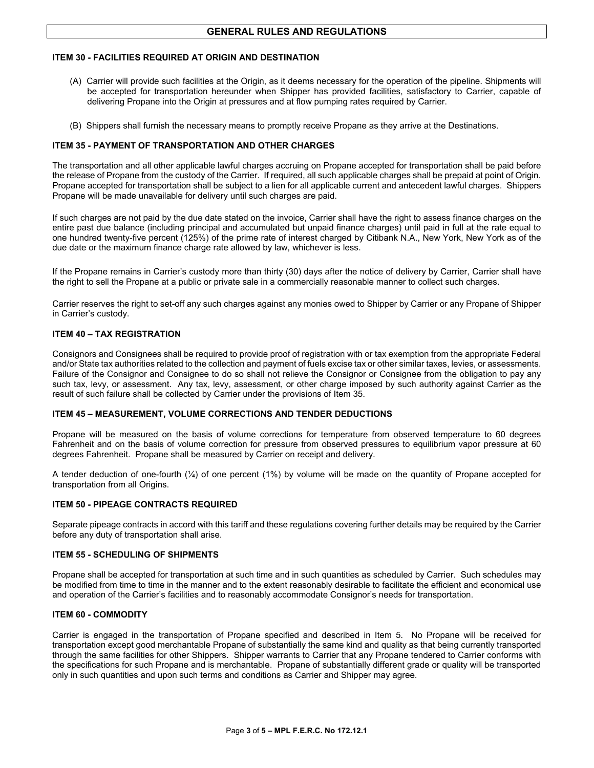#### **ITEM 30 - FACILITIES REQUIRED AT ORIGIN AND DESTINATION**

- (A) Carrier will provide such facilities at the Origin, as it deems necessary for the operation of the pipeline. Shipments will be accepted for transportation hereunder when Shipper has provided facilities, satisfactory to Carrier, capable of delivering Propane into the Origin at pressures and at flow pumping rates required by Carrier.
- (B) Shippers shall furnish the necessary means to promptly receive Propane as they arrive at the Destinations.

#### **ITEM 35 - PAYMENT OF TRANSPORTATION AND OTHER CHARGES**

The transportation and all other applicable lawful charges accruing on Propane accepted for transportation shall be paid before the release of Propane from the custody of the Carrier. If required, all such applicable charges shall be prepaid at point of Origin. Propane accepted for transportation shall be subject to a lien for all applicable current and antecedent lawful charges. Shippers Propane will be made unavailable for delivery until such charges are paid.

If such charges are not paid by the due date stated on the invoice, Carrier shall have the right to assess finance charges on the entire past due balance (including principal and accumulated but unpaid finance charges) until paid in full at the rate equal to one hundred twenty-five percent (125%) of the prime rate of interest charged by Citibank N.A., New York, New York as of the due date or the maximum finance charge rate allowed by law, whichever is less.

If the Propane remains in Carrier's custody more than thirty (30) days after the notice of delivery by Carrier, Carrier shall have the right to sell the Propane at a public or private sale in a commercially reasonable manner to collect such charges.

Carrier reserves the right to set-off any such charges against any monies owed to Shipper by Carrier or any Propane of Shipper in Carrier's custody.

#### **ITEM 40 – TAX REGISTRATION**

Consignors and Consignees shall be required to provide proof of registration with or tax exemption from the appropriate Federal and/or State tax authorities related to the collection and payment of fuels excise tax or other similar taxes, levies, or assessments. Failure of the Consignor and Consignee to do so shall not relieve the Consignor or Consignee from the obligation to pay any such tax, levy, or assessment. Any tax, levy, assessment, or other charge imposed by such authority against Carrier as the result of such failure shall be collected by Carrier under the provisions of Item 35.

#### **ITEM 45 – MEASUREMENT, VOLUME CORRECTIONS AND TENDER DEDUCTIONS**

Propane will be measured on the basis of volume corrections for temperature from observed temperature to 60 degrees Fahrenheit and on the basis of volume correction for pressure from observed pressures to equilibrium vapor pressure at 60 degrees Fahrenheit. Propane shall be measured by Carrier on receipt and delivery.

A tender deduction of one-fourth (¼) of one percent (1%) by volume will be made on the quantity of Propane accepted for transportation from all Origins.

#### **ITEM 50 - PIPEAGE CONTRACTS REQUIRED**

Separate pipeage contracts in accord with this tariff and these regulations covering further details may be required by the Carrier before any duty of transportation shall arise.

#### **ITEM 55 - SCHEDULING OF SHIPMENTS**

Propane shall be accepted for transportation at such time and in such quantities as scheduled by Carrier. Such schedules may be modified from time to time in the manner and to the extent reasonably desirable to facilitate the efficient and economical use and operation of the Carrier's facilities and to reasonably accommodate Consignor's needs for transportation.

#### **ITEM 60 - COMMODITY**

Carrier is engaged in the transportation of Propane specified and described in Item 5. No Propane will be received for transportation except good merchantable Propane of substantially the same kind and quality as that being currently transported through the same facilities for other Shippers. Shipper warrants to Carrier that any Propane tendered to Carrier conforms with the specifications for such Propane and is merchantable. Propane of substantially different grade or quality will be transported only in such quantities and upon such terms and conditions as Carrier and Shipper may agree.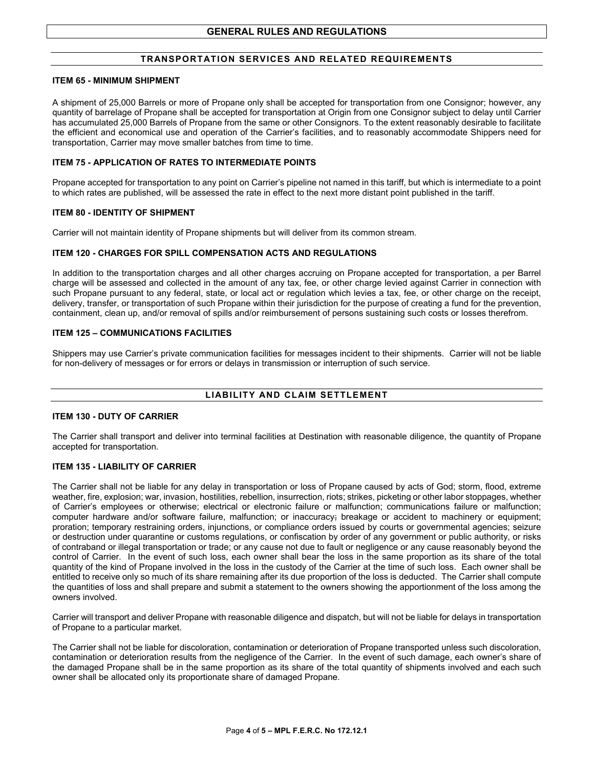#### **TRANSPORTATION SERVICES AND RELATED REQUIREMENTS**

#### **ITEM 65 - MINIMUM SHIPMENT**

A shipment of 25,000 Barrels or more of Propane only shall be accepted for transportation from one Consignor; however, any quantity of barrelage of Propane shall be accepted for transportation at Origin from one Consignor subject to delay until Carrier has accumulated 25,000 Barrels of Propane from the same or other Consignors. To the extent reasonably desirable to facilitate the efficient and economical use and operation of the Carrier's facilities, and to reasonably accommodate Shippers need for transportation, Carrier may move smaller batches from time to time.

#### **ITEM 75 - APPLICATION OF RATES TO INTERMEDIATE POINTS**

Propane accepted for transportation to any point on Carrier's pipeline not named in this tariff, but which is intermediate to a point to which rates are published, will be assessed the rate in effect to the next more distant point published in the tariff.

#### **ITEM 80 - IDENTITY OF SHIPMENT**

Carrier will not maintain identity of Propane shipments but will deliver from its common stream.

#### **ITEM 120 - CHARGES FOR SPILL COMPENSATION ACTS AND REGULATIONS**

In addition to the transportation charges and all other charges accruing on Propane accepted for transportation, a per Barrel charge will be assessed and collected in the amount of any tax, fee, or other charge levied against Carrier in connection with such Propane pursuant to any federal, state, or local act or regulation which levies a tax, fee, or other charge on the receipt, delivery, transfer, or transportation of such Propane within their jurisdiction for the purpose of creating a fund for the prevention, containment, clean up, and/or removal of spills and/or reimbursement of persons sustaining such costs or losses therefrom.

#### **ITEM 125 – COMMUNICATIONS FACILITIES**

Shippers may use Carrier's private communication facilities for messages incident to their shipments. Carrier will not be liable for non-delivery of messages or for errors or delays in transmission or interruption of such service.

#### **LIABILITY AND CLAIM SETTLEMENT**

#### **ITEM 130 - DUTY OF CARRIER**

The Carrier shall transport and deliver into terminal facilities at Destination with reasonable diligence, the quantity of Propane accepted for transportation.

#### **ITEM 135 - LIABILITY OF CARRIER**

The Carrier shall not be liable for any delay in transportation or loss of Propane caused by acts of God; storm, flood, extreme weather, fire, explosion; war, invasion, hostilities, rebellion, insurrection, riots; strikes, picketing or other labor stoppages, whether of Carrier's employees or otherwise; electrical or electronic failure or malfunction; communications failure or malfunction; computer hardware and/or software failure, malfunction; or inaccuracy; breakage or accident to machinery or equipment; proration; temporary restraining orders, injunctions, or compliance orders issued by courts or governmental agencies; seizure or destruction under quarantine or customs regulations, or confiscation by order of any government or public authority, or risks of contraband or illegal transportation or trade; or any cause not due to fault or negligence or any cause reasonably beyond the control of Carrier. In the event of such loss, each owner shall bear the loss in the same proportion as its share of the total quantity of the kind of Propane involved in the loss in the custody of the Carrier at the time of such loss. Each owner shall be entitled to receive only so much of its share remaining after its due proportion of the loss is deducted. The Carrier shall compute the quantities of loss and shall prepare and submit a statement to the owners showing the apportionment of the loss among the owners involved.

Carrier will transport and deliver Propane with reasonable diligence and dispatch, but will not be liable for delays in transportation of Propane to a particular market.

The Carrier shall not be liable for discoloration, contamination or deterioration of Propane transported unless such discoloration, contamination or deterioration results from the negligence of the Carrier. In the event of such damage, each owner's share of the damaged Propane shall be in the same proportion as its share of the total quantity of shipments involved and each such owner shall be allocated only its proportionate share of damaged Propane.